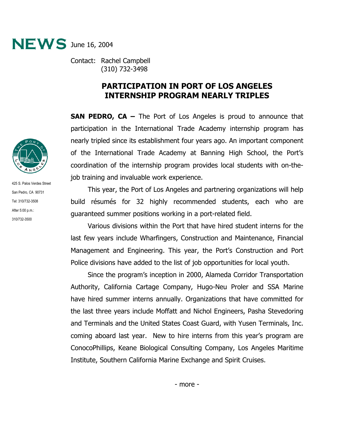

Contact: Rachel Campbell (310) 732-3498

## **PARTICIPATION IN PORT OF LOS ANGELES INTERNSHIP PROGRAM NEARLY TRIPLES**

**SAN PEDRO, CA –** The Port of Los Angeles is proud to announce that participation in the International Trade Academy internship program has nearly tripled since its establishment four years ago. An important component of the International Trade Academy at Banning High School, the Port's coordination of the internship program provides local students with on-thejob training and invaluable work experience.

 This year, the Port of Los Angeles and partnering organizations will help build résumés for 32 highly recommended students, each who are guaranteed summer positions working in a port-related field.

 Various divisions within the Port that have hired student interns for the last few years include Wharfingers, Construction and Maintenance, Financial Management and Engineering. This year, the Port's Construction and Port Police divisions have added to the list of job opportunities for local youth.

 Since the program's inception in 2000, Alameda Corridor Transportation Authority, California Cartage Company, Hugo-Neu Proler and SSA Marine have hired summer interns annually. Organizations that have committed for the last three years include Moffatt and Nichol Engineers, Pasha Stevedoring and Terminals and the United States Coast Guard, with Yusen Terminals, Inc. coming aboard last year. New to hire interns from this year's program are ConocoPhillips, Keane Biological Consulting Company, Los Angeles Maritime Institute, Southern California Marine Exchange and Spirit Cruises.



425 S. Palos Verdes Street San Pedro, CA 90731 Tel: 310/732-3508 After 5:00 p.m.: 310/732-3500